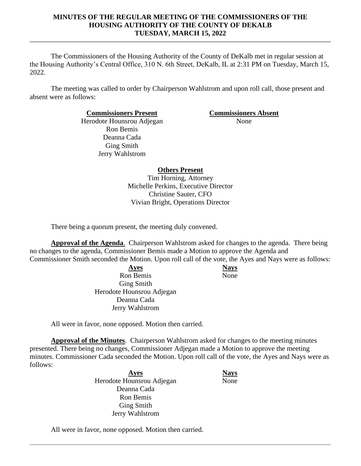The Commissioners of the Housing Authority of the County of DeKalb met in regular session at the Housing Authority's Central Office, 310 N. 6th Street, DeKalb, IL at 2:31 PM on Tuesday, March 15, 2022.

The meeting was called to order by Chairperson Wahlstrom and upon roll call, those present and absent were as follows:

**Commissioners Present Commissioners Absent**

Herodote Hounsrou Adjegan Ron Bemis Deanna Cada Ging Smith Jerry Wahlstrom

None

# **Others Present**

Tim Horning, Attorney Michelle Perkins, Executive Director Christine Sauter, CFO Vivian Bright, Operations Director

There being a quorum present, the meeting duly convened.

**Approval of the Agenda**. Chairperson Wahlstrom asked for changes to the agenda. There being no changes to the agenda, Commissioner Bemis made a Motion to approve the Agenda and

Commissioner Smith seconded the Motion. Upon roll call of the vote, the Ayes and Nays were as follows:

**Ayes Nays** Ron Bemis Ging Smith Herodote Hounsrou Adjegan Deanna Cada Jerry Wahlstrom

None

All were in favor, none opposed. Motion then carried.

**Approval of the Minutes**. Chairperson Wahlstrom asked for changes to the meeting minutes presented. There being no changes, Commissioner Adjegan made a Motion to approve the meeting minutes. Commissioner Cada seconded the Motion. Upon roll call of the vote, the Ayes and Nays were as follows:

> **Ayes Nays** Herodote Hounsrou Adjegan Deanna Cada Ron Bemis Ging Smith Jerry Wahlstrom

None

All were in favor, none opposed. Motion then carried.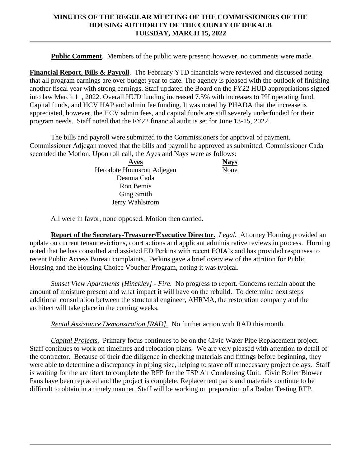**Public Comment**. Members of the public were present; however, no comments were made.

**Financial Report, Bills & Payroll**. The February YTD financials were reviewed and discussed noting that all program earnings are over budget year to date. The agency is pleased with the outlook of finishing another fiscal year with strong earnings. Staff updated the Board on the FY22 HUD appropriations signed into law March 11, 2022. Overall HUD funding increased 7.5% with increases to PH operating fund, Capital funds, and HCV HAP and admin fee funding. It was noted by PHADA that the increase is appreciated, however, the HCV admin fees, and capital funds are still severely underfunded for their program needs. Staff noted that the FY22 financial audit is set for June 13-15, 2022.

The bills and payroll were submitted to the Commissioners for approval of payment. Commissioner Adjegan moved that the bills and payroll be approved as submitted. Commissioner Cada seconded the Motion. Upon roll call, the Ayes and Nays were as follows:

> **Ayes Nays** Herodote Hounsrou Adjegan Deanna Cada Ron Bemis Ging Smith Jerry Wahlstrom None

All were in favor, none opposed. Motion then carried.

**Report of the Secretary-Treasurer/Executive Director.** *Legal.* Attorney Horning provided an update on current tenant evictions, court actions and applicant administrative reviews in process. Horning noted that he has consulted and assisted ED Perkins with recent FOIA's and has provided responses to recent Public Access Bureau complaints. Perkins gave a brief overview of the attrition for Public Housing and the Housing Choice Voucher Program, noting it was typical.

*Sunset View Apartments [Hinckley] - Fire.* No progress to report. Concerns remain about the amount of moisture present and what impact it will have on the rebuild. To determine next steps additional consultation between the structural engineer, AHRMA, the restoration company and the architect will take place in the coming weeks.

*Rental Assistance Demonstration [RAD].* No further action with RAD this month.

*Capital Projects.* Primary focus continues to be on the Civic Water Pipe Replacement project. Staff continues to work on timelines and relocation plans. We are very pleased with attention to detail of the contractor. Because of their due diligence in checking materials and fittings before beginning, they were able to determine a discrepancy in piping size, helping to stave off unnecessary project delays. Staff is waiting for the architect to complete the RFP for the TSP Air Condensing Unit. Civic Boiler Blower Fans have been replaced and the project is complete. Replacement parts and materials continue to be difficult to obtain in a timely manner. Staff will be working on preparation of a Radon Testing RFP.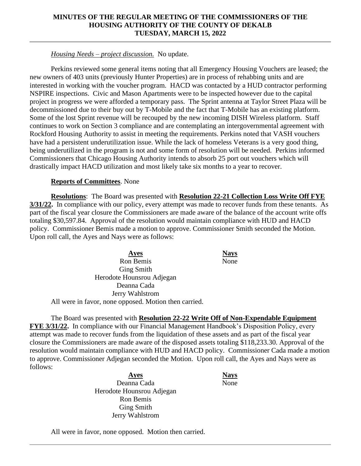## *Housing Needs – project discussion.* No update.

Perkins reviewed some general items noting that all Emergency Housing Vouchers are leased; the new owners of 403 units (previously Hunter Properties) are in process of rehabbing units and are interested in working with the voucher program. HACD was contacted by a HUD contractor performing NSPIRE inspections. Civic and Mason Apartments were to be inspected however due to the capital project in progress we were afforded a temporary pass. The Sprint antenna at Taylor Street Plaza will be decommissioned due to their buy out by T-Mobile and the fact that T-Mobile has an existing platform. Some of the lost Sprint revenue will be recouped by the new incoming DISH Wireless platform. Staff continues to work on Section 3 compliance and are contemplating an intergovernmental agreement with Rockford Housing Authority to assist in meeting the requirements. Perkins noted that VASH vouchers have had a persistent underutilization issue. While the lack of homeless Veterans is a very good thing, being underutilized in the program is not and some form of resolution will be needed. Perkins informed Commissioners that Chicago Housing Authority intends to absorb 25 port out vouchers which will drastically impact HACD utilization and most likely take six months to a year to recover.

### **Reports of Committees**. None

**Resolutions**: The Board was presented with **Resolution 22-21 Collection Loss Write Off FYE 3/31/22.** In compliance with our policy, every attempt was made to recover funds from these tenants. As part of the fiscal year closure the Commissioners are made aware of the balance of the account write offs totaling \$30,597.84. Approval of the resolution would maintain compliance with HUD and HACD policy. Commissioner Bemis made a motion to approve. Commissioner Smith seconded the Motion. Upon roll call, the Ayes and Nays were as follows:

| Ayes                                                  |
|-------------------------------------------------------|
| Ron Bemis                                             |
| <b>Ging Smith</b>                                     |
| Herodote Hounsrou Adjegan                             |
| Deanna Cada                                           |
| Jerry Wahlstrom                                       |
| All were in favor, none opposed. Motion then carried. |

The Board was presented with **Resolution 22-22 Write Off of Non-Expendable Equipment FYE 3/31/22.** In compliance with our Financial Management Handbook's Disposition Policy, every attempt was made to recover funds from the liquidation of these assets and as part of the fiscal year closure the Commissioners are made aware of the disposed assets totaling \$118,233.30. Approval of the resolution would maintain compliance with HUD and HACD policy. Commissioner Cada made a motion to approve. Commissioner Adjegan seconded the Motion. Upon roll call, the Ayes and Nays were as follows:

> **Ayes Nays** Deanna Cada Herodote Hounsrou Adjegan Ron Bemis Ging Smith Jerry Wahlstrom

None

**Ayes Nays**

None

All were in favor, none opposed. Motion then carried.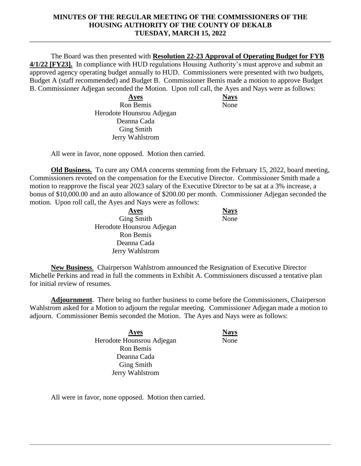The Board was then presented with **Resolution 22-23 Approval of Operating Budget for FYB 4/1/22 [FY23].** In compliance with HUD regulations Housing Authority's must approve and submit an approved agency operating budget annually to HUD. Commissioners were presented with two budgets, Budget A (staff recommended) and Budget B. Commissioner Bemis made a motion to approve Budget B. Commissioner Adjegan seconded the Motion. Upon roll call, the Ayes and Nays were as follows:

> **Ayes Nays** Ron Bemis Herodote Hounsrou Adjegan Deanna Cada Ging Smith Jerry Wahlstrom

None

All were in favor, none opposed. Motion then carried.

**Old Business.** To cure any OMA concerns stemming from the February 15, 2022, board meeting, Commissioners revoted on the compensation for the Executive Director. Commissioner Smith made a motion to reapprove the fiscal year 2023 salary of the Executive Director to be sat at a 3% increase, a bonus of \$10,000.00 and an auto allowance of \$200.00 per month. Commissioner Adjegan seconded the motion. Upon roll call, the Ayes and Nays were as follows:

> **Ayes Nays** Ging Smith Herodote Hounsrou Adjegan Ron Bemis Deanna Cada Jerry Wahlstrom

None

**New Business***.* Chairperson Wahlstrom announced the Resignation of Executive Director Michelle Perkins and read in full the comments in Exhibit A. Commissioners discussed a tentative plan for initial review of resumes.

**Adjournment**. There being no further business to come before the Commissioners, Chairperson Wahlstrom asked for a Motion to adjourn the regular meeting. Commissioner Adjegan made a motion to adjourn. Commissioner Bemis seconded the Motion. The Ayes and Nays were as follows:

> **Ayes Nays** Herodote Hounsrou Adjegan Ron Bemis Deanna Cada Ging Smith Jerry Wahlstrom

**None** 

All were in favor, none opposed. Motion then carried.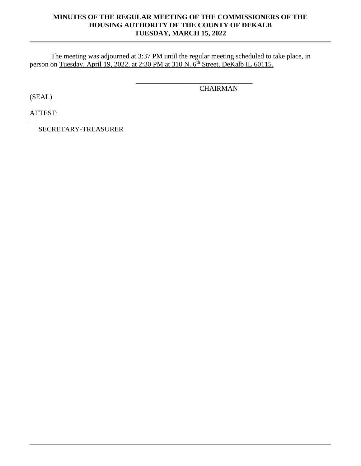\_\_\_\_\_\_\_\_\_\_\_\_\_\_\_\_\_\_\_\_\_\_\_\_\_\_\_\_\_\_\_\_\_

**CHAIRMAN** 

The meeting was adjourned at 3:37 PM until the regular meeting scheduled to take place, in person on Tuesday, April 19, 2022, at 2:30 PM at 310 N. 6<sup>th</sup> Street, DeKalb IL 60115.

(SEAL)

ATTEST:

\_\_\_\_\_\_\_\_\_\_\_\_\_\_\_\_\_\_\_\_\_\_\_\_\_\_\_\_\_\_\_ SECRETARY-TREASURER